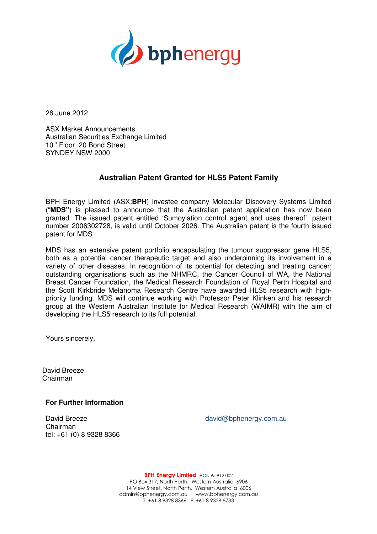

26 June 2012

ASX Market Announcements Australian Securities Exchange Limited 10<sup>th</sup> Floor, 20 Bond Street SYNDEY NSW 2000

## **Australian Patent Granted for HLS5 Patent Family**

BPH Energy Limited (ASX:**BPH**) investee company Molecular Discovery Systems Limited ("**MDS"**) is pleased to announce that the Australian patent application has now been granted. The issued patent entitled 'Sumoylation control agent and uses thereof', patent number 2006302728, is valid until October 2026. The Australian patent is the fourth issued patent for MDS.

MDS has an extensive patent portfolio encapsulating the tumour suppressor gene HLS5, both as a potential cancer therapeutic target and also underpinning its involvement in a variety of other diseases. In recognition of its potential for detecting and treating cancer; outstanding organisations such as the NHMRC, the Cancer Council of WA, the National Breast Cancer Foundation, the Medical Research Foundation of Royal Perth Hospital and the Scott Kirkbride Melanoma Research Centre have awarded HLS5 research with highpriority funding. MDS will continue working with Professor Peter Klinken and his research group at the Western Australian Institute for Medical Research (WAIMR) with the aim of developing the HLS5 research to its full potential.

Yours sincerely,

David Breeze Chairman

**For Further Information** 

Chairman tel: +61 (0) 8 9328 8366

David Breeze david@bphenergy.com.au